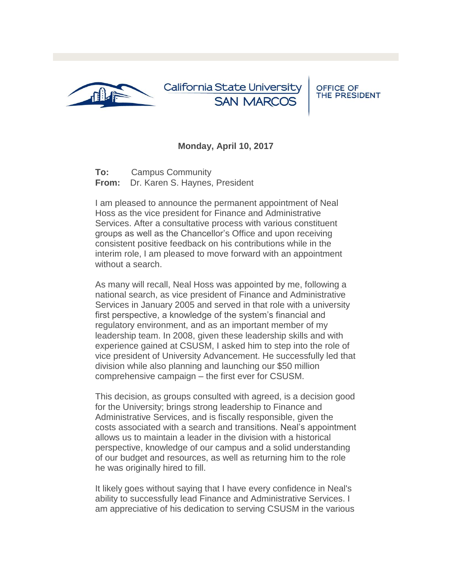

California State University **SAN MARCOS** 

**OFFICE OF** THE PRESIDENT

## **Monday, April 10, 2017**

**To:** Campus Community **From:** Dr. Karen S. Haynes, President

I am pleased to announce the permanent appointment of Neal Hoss as the vice president for Finance and Administrative Services. After a consultative process with various constituent groups as well as the Chancellor's Office and upon receiving consistent positive feedback on his contributions while in the interim role, I am pleased to move forward with an appointment without a search.

As many will recall, Neal Hoss was appointed by me, following a national search, as vice president of Finance and Administrative Services in January 2005 and served in that role with a university first perspective, a knowledge of the system's financial and regulatory environment, and as an important member of my leadership team. In 2008, given these leadership skills and with experience gained at CSUSM, I asked him to step into the role of vice president of University Advancement. He successfully led that division while also planning and launching our \$50 million comprehensive campaign – the first ever for CSUSM.

This decision, as groups consulted with agreed, is a decision good for the University; brings strong leadership to Finance and Administrative Services, and is fiscally responsible, given the costs associated with a search and transitions. Neal's appointment allows us to maintain a leader in the division with a historical perspective, knowledge of our campus and a solid understanding of our budget and resources, as well as returning him to the role he was originally hired to fill.

It likely goes without saying that I have every confidence in Neal's ability to successfully lead Finance and Administrative Services. I am appreciative of his dedication to serving CSUSM in the various